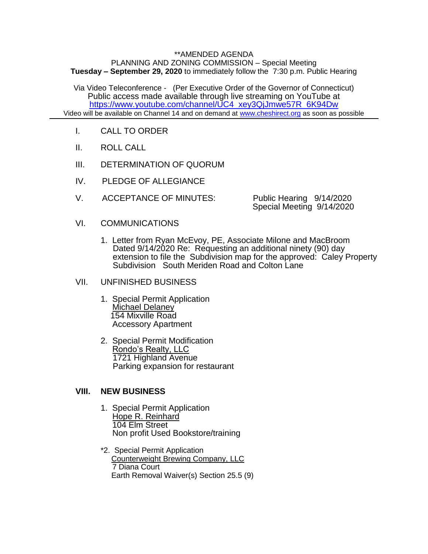## \*\*AMENDED AGENDA

PLANNING AND ZONING COMMISSION – Special Meeting **Tuesday – September 29, 2020** to immediately follow the 7:30 p.m. Public Hearing

Via Video Teleconference - (Per Executive Order of the Governor of Connecticut) Public access made available through live streaming on YouTube at [https://www.youtube.com/channel/UC4\\_xey3QjJmwe57R\\_6K94Dw](https://www.youtube.com/channel/UC4_xey3QjJmwe57R_6K94Dw) Video will be available on Channel 14 and on demand at [www.cheshirect.org](http://www.cheshirect.org/) as soon as possible

- I. CALL TO ORDER
- II. ROLL CALL
- III. DETERMINATION OF QUORUM
- IV. PLEDGE OF ALLEGIANCE
- V. ACCEPTANCE OF MINUTES: Public Hearing 9/14/2020

Special Meeting 9/14/2020

- VI. COMMUNICATIONS
	- 1. Letter from Ryan McEvoy, PE, Associate Milone and MacBroom Dated 9/14/2020 Re: Requesting an additional ninety (90) day extension to file the Subdivision map for the approved: Caley Property Subdivision South Meriden Road and Colton Lane
- VII. UNFINISHED BUSINESS
	- 1. Special Permit Application Michael Delaney 154 Mixville Road Accessory Apartment
	- 2. Special Permit Modification Rondo's Realty, LLC 1721 Highland Avenue Parking expansion for restaurant

## **VIII. NEW BUSINESS**

- 1. Special Permit Application Hope R. Reinhard 104 Elm Street Non profit Used Bookstore/training
- \*2. Special Permit Application Counterweight Brewing Company, LLC 7 Diana Court Earth Removal Waiver(s) Section 25.5 (9)